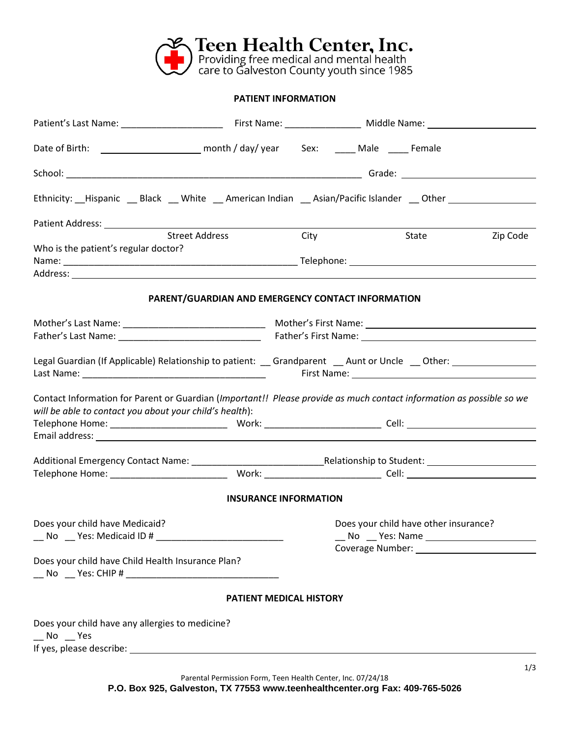

## **PATIENT INFORMATION**

| Ethnicity: __Hispanic __ Black __ White __ American Indian __ Asian/Pacific Islander __ Other ____________                                                                                                                                                                                                                                       |                                                   |                                |                                       |                           |          |
|--------------------------------------------------------------------------------------------------------------------------------------------------------------------------------------------------------------------------------------------------------------------------------------------------------------------------------------------------|---------------------------------------------------|--------------------------------|---------------------------------------|---------------------------|----------|
|                                                                                                                                                                                                                                                                                                                                                  |                                                   |                                |                                       |                           |          |
|                                                                                                                                                                                                                                                                                                                                                  | <b>Street Address</b>                             | City                           |                                       | <b>State Example 2016</b> | Zip Code |
| Who is the patient's regular doctor?                                                                                                                                                                                                                                                                                                             |                                                   |                                |                                       |                           |          |
|                                                                                                                                                                                                                                                                                                                                                  |                                                   |                                |                                       |                           |          |
|                                                                                                                                                                                                                                                                                                                                                  |                                                   |                                |                                       |                           |          |
|                                                                                                                                                                                                                                                                                                                                                  |                                                   |                                |                                       |                           |          |
|                                                                                                                                                                                                                                                                                                                                                  | PARENT/GUARDIAN AND EMERGENCY CONTACT INFORMATION |                                |                                       |                           |          |
|                                                                                                                                                                                                                                                                                                                                                  |                                                   |                                |                                       |                           |          |
|                                                                                                                                                                                                                                                                                                                                                  |                                                   |                                |                                       |                           |          |
|                                                                                                                                                                                                                                                                                                                                                  |                                                   |                                |                                       |                           |          |
|                                                                                                                                                                                                                                                                                                                                                  |                                                   |                                |                                       |                           |          |
| Legal Guardian (If Applicable) Relationship to patient: _ Grandparent _ Aunt or Uncle _ Other: _ _ _ _ _ _ _ _<br>First Name: 1988 Contract Contract Contract Contract Contract Contract Contract Contract Contract Contract Contract Contract Contract Contract Contract Contract Contract Contract Contract Contract Contract Contract Contrac |                                                   |                                |                                       |                           |          |
|                                                                                                                                                                                                                                                                                                                                                  |                                                   |                                |                                       |                           |          |
| Contact Information for Parent or Guardian (Important!! Please provide as much contact information as possible so we                                                                                                                                                                                                                             |                                                   |                                |                                       |                           |          |
| will be able to contact you about your child's health):                                                                                                                                                                                                                                                                                          |                                                   |                                |                                       |                           |          |
|                                                                                                                                                                                                                                                                                                                                                  |                                                   |                                |                                       |                           |          |
|                                                                                                                                                                                                                                                                                                                                                  |                                                   |                                |                                       |                           |          |
|                                                                                                                                                                                                                                                                                                                                                  |                                                   |                                |                                       |                           |          |
|                                                                                                                                                                                                                                                                                                                                                  |                                                   |                                |                                       |                           |          |
|                                                                                                                                                                                                                                                                                                                                                  |                                                   |                                |                                       |                           |          |
|                                                                                                                                                                                                                                                                                                                                                  |                                                   |                                |                                       |                           |          |
|                                                                                                                                                                                                                                                                                                                                                  |                                                   | <b>INSURANCE INFORMATION</b>   |                                       |                           |          |
| Does your child have Medicaid?                                                                                                                                                                                                                                                                                                                   |                                                   |                                | Does your child have other insurance? |                           |          |
|                                                                                                                                                                                                                                                                                                                                                  |                                                   |                                |                                       |                           |          |
| __ No __ Yes: Medicaid ID # ____________________________                                                                                                                                                                                                                                                                                         |                                                   |                                |                                       |                           |          |
|                                                                                                                                                                                                                                                                                                                                                  |                                                   |                                |                                       |                           |          |
| Does your child have Child Health Insurance Plan?                                                                                                                                                                                                                                                                                                |                                                   |                                |                                       |                           |          |
|                                                                                                                                                                                                                                                                                                                                                  |                                                   |                                |                                       |                           |          |
|                                                                                                                                                                                                                                                                                                                                                  |                                                   | <b>PATIENT MEDICAL HISTORY</b> |                                       |                           |          |
| Does your child have any allergies to medicine?                                                                                                                                                                                                                                                                                                  |                                                   |                                |                                       |                           |          |
| $N$ o $Y$ es                                                                                                                                                                                                                                                                                                                                     |                                                   |                                |                                       |                           |          |
|                                                                                                                                                                                                                                                                                                                                                  |                                                   |                                |                                       |                           |          |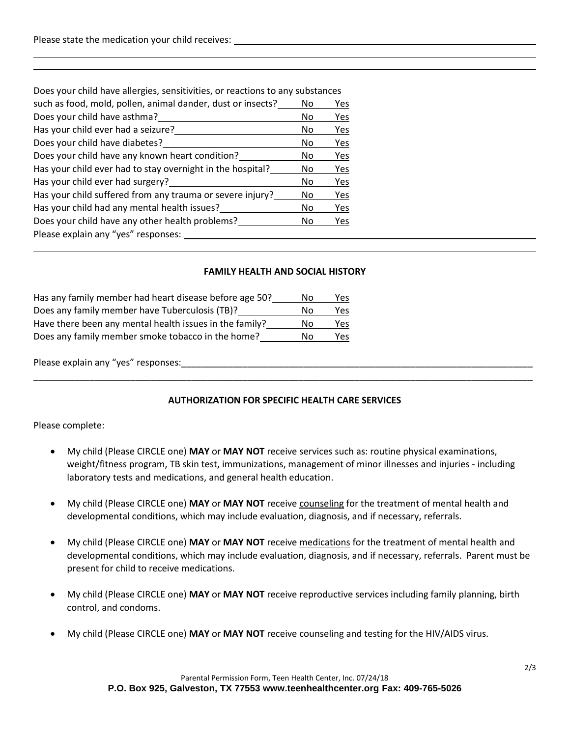| Does your child have allergies, sensitivities, or reactions to any substances |    |     |
|-------------------------------------------------------------------------------|----|-----|
| such as food, mold, pollen, animal dander, dust or insects?                   | No | Yes |
| Does your child have asthma?                                                  | No | Yes |
| Has your child ever had a seizure?                                            | No | Yes |
| Does your child have diabetes?                                                | No | Yes |
| Does your child have any known heart condition?                               | No | Yes |
| Has your child ever had to stay overnight in the hospital?                    | No | Yes |
| Has your child ever had surgery?                                              | No | Yes |
| Has your child suffered from any trauma or severe injury?                     | No | Yes |
| Has your child had any mental health issues?                                  | No | Yes |
| Does your child have any other health problems?                               | No | Yes |
| Please explain any "yes" responses:                                           |    |     |
|                                                                               |    |     |

## **FAMILY HEALTH AND SOCIAL HISTORY**

| Has any family member had heart disease before age 50?  | Nο | Yes  |
|---------------------------------------------------------|----|------|
| Does any family member have Tuberculosis (TB)?          | N٥ | Yes  |
| Have there been any mental health issues in the family? | Nο | Yes  |
| Does any family member smoke tobacco in the home?       | N٥ | Yes. |

Please explain any "yes" responses:

## **AUTHORIZATION FOR SPECIFIC HEALTH CARE SERVICES**

\_\_\_\_\_\_\_\_\_\_\_\_\_\_\_\_\_\_\_\_\_\_\_\_\_\_\_\_\_\_\_\_\_\_\_\_\_\_\_\_\_\_\_\_\_\_\_\_\_\_\_\_\_\_\_\_\_\_\_\_\_\_\_\_\_\_\_\_\_\_\_\_\_\_\_\_\_\_\_\_\_\_\_\_\_\_\_\_\_\_\_\_\_\_\_\_\_\_

Please complete:

- My child (Please CIRCLE one) **MAY** or **MAY NOT** receive services such as: routine physical examinations, weight/fitness program, TB skin test, immunizations, management of minor illnesses and injuries - including laboratory tests and medications, and general health education.
- My child (Please CIRCLE one) **MAY** or **MAY NOT** receive counseling for the treatment of mental health and developmental conditions, which may include evaluation, diagnosis, and if necessary, referrals.
- My child (Please CIRCLE one) **MAY** or **MAY NOT** receive medications for the treatment of mental health and developmental conditions, which may include evaluation, diagnosis, and if necessary, referrals. Parent must be present for child to receive medications.
- My child (Please CIRCLE one) **MAY** or **MAY NOT** receive reproductive services including family planning, birth control, and condoms.
- My child (Please CIRCLE one) **MAY** or **MAY NOT** receive counseling and testing for the HIV/AIDS virus.